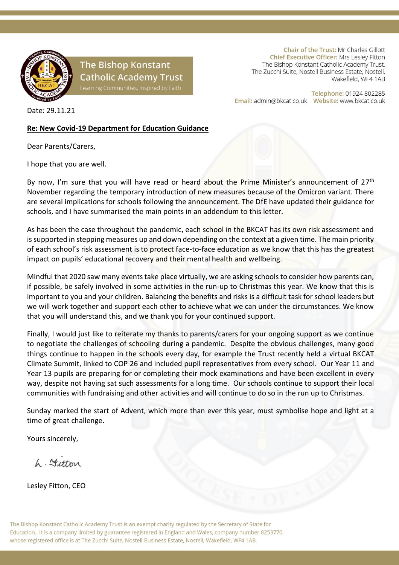

### **The Bishop Konstant Catholic Academy Trust**

Chair of the Trust: Mr Charles Gillott Chief Executive Officer: Mrs Lesley Fitton The Bishop Konstant Catholic Academy Trust, The Zucchi Suite, Nostell Business Estate, Nostell, Wakefield, WF4 1AB

Telephone: 01924 802285 

Date: 29.11.21

#### **Re: New Covid-19 Department for Education Guidance**

Dear Parents/Carers,

I hope that you are well.

By now, I'm sure that you will have read or heard about the Prime Minister's announcement of 27<sup>th</sup> November regarding the temporary introduction of new measures because of the Omicron variant. There are several implications for schools following the announcement. The DfE have updated their guidance for schools, and I have summarised the main points in an addendum to this letter.

As has been the case throughout the pandemic, each school in the BKCAT has its own risk assessment and is supported in stepping measures up and down depending on the context at a given time. The main priority of each school's risk assessment is to protect face-to-face education as we know that this has the greatest impact on pupils' educational recovery and their mental health and wellbeing.

Mindful that 2020 saw many events take place virtually, we are asking schools to consider how parents can, if possible, be safely involved in some activities in the run-up to Christmas this year. We know that this is important to you and your children. Balancing the benefits and risks is a difficult task for school leaders but we will work together and support each other to achieve what we can under the circumstances. We know that you will understand this, and we thank you for your continued support.

Finally, I would just like to reiterate my thanks to parents/carers for your ongoing support as we continue to negotiate the challenges of schooling during a pandemic. Despite the obvious challenges, many good things continue to happen in the schools every day, for example the Trust recently held a virtual BKCAT Climate Summit, linked to COP 26 and included pupil representatives from every school. Our Year 11 and Year 13 pupils are preparing for or completing their mock examinations and have been excellent in every way, despite not having sat such assessments for a long time. Our schools continue to support their local communities with fundraising and other activities and will continue to do so in the run up to Christmas.

Sunday marked the start of Advent, which more than ever this year, must symbolise hope and light at a time of great challenge.

Yours sincerely,

 $h$   $\pm t$ 

Lesley Fitton, CEO

The Bishop Konstant Catholic Academy Trust is an exempt charity regulated by the Secretary of State for Education. It is a company limited by guarantee registered in England and Wales, company number 8253770, whose registered office is at The Zucchi Suite, Nostell Business Estate, Nostell, Wakefield, WF4 1AB.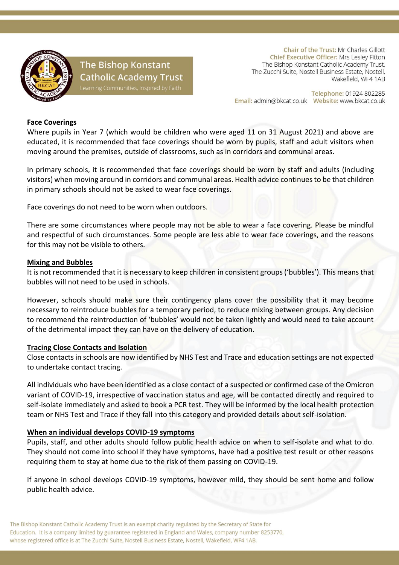

## **The Bishop Konstant Catholic Academy Trust**

Chair of the Trust: Mr Charles Gillott Chief Executive Officer: Mrs Lesley Fitton The Bishop Konstant Catholic Academy Trust, The Zucchi Suite, Nostell Business Estate, Nostell, Wakefield, WF4 1AB

Telephone: 01924 802285 

#### **Face Coverings**

Where pupils in Year 7 (which would be children who were aged 11 on 31 August 2021) and above are educated, it is recommended that face coverings should be worn by pupils, staff and adult visitors when moving around the premises, outside of classrooms, such as in corridors and communal areas.

In primary schools, it is recommended that face coverings should be worn by staff and adults (including visitors) when moving around in corridors and communal areas. Health advice continues to be that children in primary schools should not be asked to wear face coverings.

Face coverings do not need to be worn when outdoors.

There are some circumstances where people may not be able to wear a face covering. Please be mindful and respectful of such circumstances. Some people are less able to wear face coverings, and the reasons for this may not be visible to others.

#### **Mixing and Bubbles**

It is not recommended that it is necessary to keep children in consistent groups ('bubbles'). This means that bubbles will not need to be used in schools.

However, schools should make sure their contingency plans cover the possibility that it may become necessary to reintroduce bubbles for a temporary period, to reduce mixing between groups. Any decision to recommend the reintroduction of 'bubbles' would not be taken lightly and would need to take account of the detrimental impact they can have on the delivery of education.

#### **Tracing Close Contacts and Isolation**

Close contacts in schools are now identified by NHS Test and Trace and education settings are not expected to undertake contact tracing.

All individuals who have been identified as a close contact of a suspected or confirmed case of the Omicron variant of COVID-19, irrespective of vaccination status and age, will be contacted directly and required to self-isolate immediately and asked to book a PCR test. They will be informed by the local health protection team or NHS Test and Trace if they fall into this category and provided details about self-isolation.

#### **When an individual develops COVID-19 symptoms**

Pupils, staff, and other adults should follow public health advice on when to self-isolate and what to do. They should not come into school if they have symptoms, have had a positive test result or other reasons requiring them to stay at home due to the risk of them passing on COVID-19.

If anyone in school develops COVID-19 symptoms, however mild, they should be sent home and follow public health advice.

The Bishop Konstant Catholic Academy Trust is an exempt charity regulated by the Secretary of State for Education. It is a company limited by guarantee registered in England and Wales, company number 8253770, whose registered office is at The Zucchi Suite, Nostell Business Estate, Nostell, Wakefield, WF4 1AB.